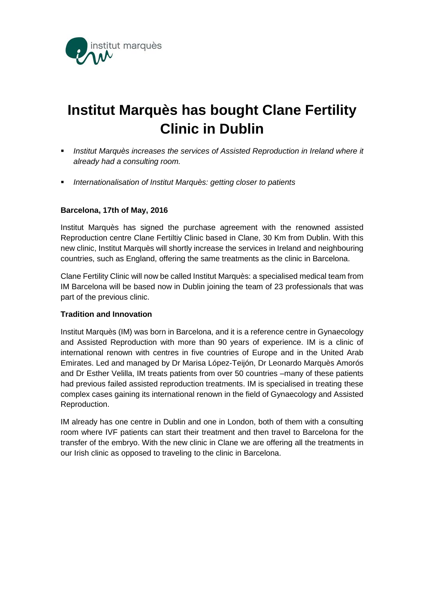

## **Institut Marquès has bought Clane Fertility Clinic in Dublin**

- **Institut Marquès increases the services of Assisted Reproduction in Ireland where it** *already had a consulting room.*
- *Internationalisation of Institut Marquès: getting closer to patients*

## **Barcelona, 17th of May, 2016**

Institut Marquès has signed the purchase agreement with the renowned assisted Reproduction centre Clane Fertiltiy Clinic based in Clane, 30 Km from Dublin. With this new clinic, Institut Marquès will shortly increase the services in Ireland and neighbouring countries, such as England, offering the same treatments as the clinic in Barcelona.

Clane Fertility Clinic will now be called Institut Marquès: a specialised medical team from IM Barcelona will be based now in Dublin joining the team of 23 professionals that was part of the previous clinic.

## **Tradition and Innovation**

Institut Marquès (IM) was born in Barcelona, and it is a reference centre in Gynaecology and Assisted Reproduction with more than 90 years of experience. IM is a clinic of international renown with centres in five countries of Europe and in the United Arab Emirates. Led and managed by Dr Marisa López-Teijón, Dr Leonardo Marquès Amorós and Dr Esther Velilla, IM treats patients from over 50 countries –many of these patients had previous failed assisted reproduction treatments. IM is specialised in treating these complex cases gaining its international renown in the field of Gynaecology and Assisted Reproduction.

IM already has one centre in Dublin and one in London, both of them with a consulting room where IVF patients can start their treatment and then travel to Barcelona for the transfer of the embryo. With the new clinic in Clane we are offering all the treatments in our Irish clinic as opposed to traveling to the clinic in Barcelona.